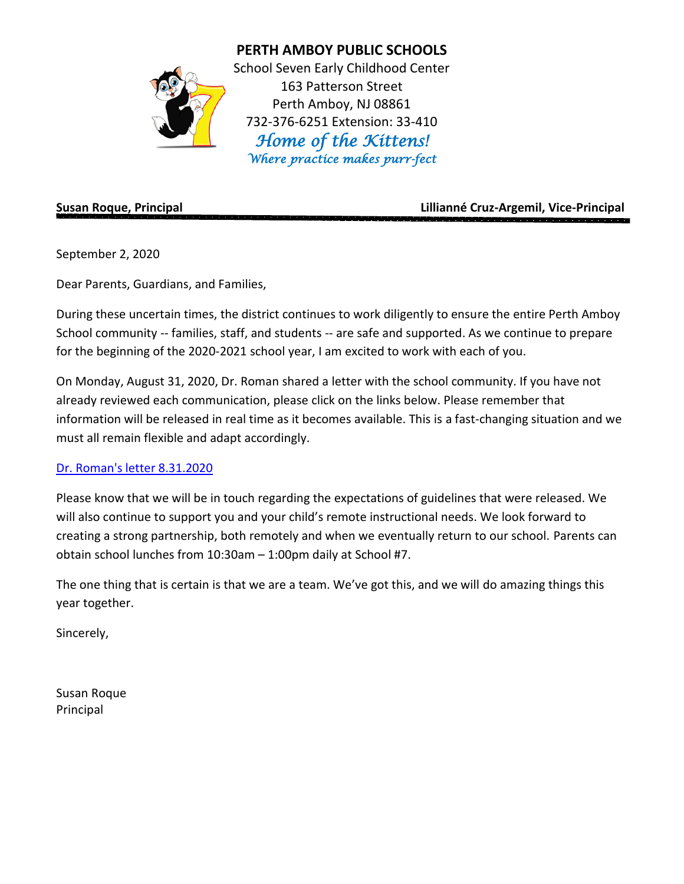

**PERTH AMBOY PUBLIC SCHOOLS**

School Seven Early Childhood Center 163 Patterson Street Perth Amboy, NJ 08861 732-376-6251 Extension: 33-410 *Home of the Kittens! Where practice makes purr-fect* 

**Susan Roque, Principal Lillianné Cruz-Argemil, Vice-Principal**

September 2, 2020

Dear Parents, Guardians, and Families,

During these uncertain times, the district continues to work diligently to ensure the entire Perth Amboy School community -- families, staff, and students -- are safe and supported. As we continue to prepare for the beginning of the 2020-2021 school year, I am excited to work with each of you.

On Monday, August 31, 2020, Dr. Roman shared a letter with the school community. If you have not already reviewed each communication, please click on the links below. Please remember that information will be released in real time as it becomes available. This is a fast-changing situation and we must all remain flexible and adapt accordingly.

## [Dr. Roman's letter 8.31.2020](https://www.paps.net/cms/lib/NJ01001771/Centricity/Domain/4/2020-2021%20All%20Remote%20Instruction%20Community%20Letter%2008.31.2020%20ENG.pdf)

Please know that we will be in touch regarding the expectations of guidelines that were released. We will also continue to support you and your child's remote instructional needs. We look forward to creating a strong partnership, both remotely and when we eventually return to our school. Parents can obtain school lunches from 10:30am – 1:00pm daily at School #7.

The one thing that is certain is that we are a team. We've got this, and we will do amazing things this year together.

Sincerely,

Susan Roque Principal